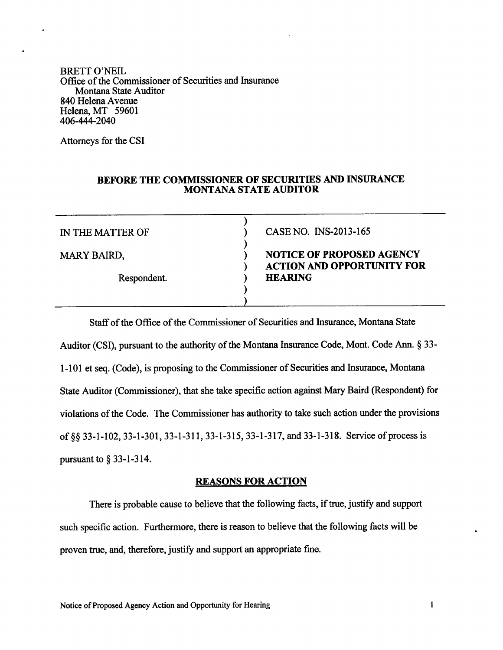BRETT O'NEIL Office of the Commissioner of Securities and Insurance Montana State Auditor 840 Helena Avenue Helena, MT <sup>59601</sup> 406-444-2040

Attorneys for the CSI

# BEFORE THE COMMISSIONER OF SECURITIES AND INSURANCE MONTANA STATE AUDITOR

)

)

) )

Respondent.

IN THE MATTER OF  $(1.50)$  CASE NO. INS-2013-165

# MARY BAIRD, (a) (b) NOTICE OF PROPOSED AGENCY ACTION AND OPPORTUNITY FOR<br>HEARING

Staff of the Office of the Commissioner of Securities and Insurance, Montana State Auditor (CSI), pursuant to the authority of the Montana Insurance Code, Mont. Code Ann. \$ 33 l-l0l et seq. (Code), is proposing to the Commissioner of Securities and Insurance, Montana State Auditor (Commissioner), that she take specific action against Mary Baird (Respondent) for violations of the Code. The Commissioner has authority to take such action under the provisions of gg 33-l-102,33-l-301, 33-1-311, 33-l-315,33-l-317, and 33-l-318. Service of process is pursuant to  $\S$  33-1-314.

# REASONS FOR ACTION

There is probable cause to believe that the following facts, if true, justify and support such specific action. Furthermore, there is reason to believe that the following facts will be proven true, and, therefore, justify and support an appropriate fine.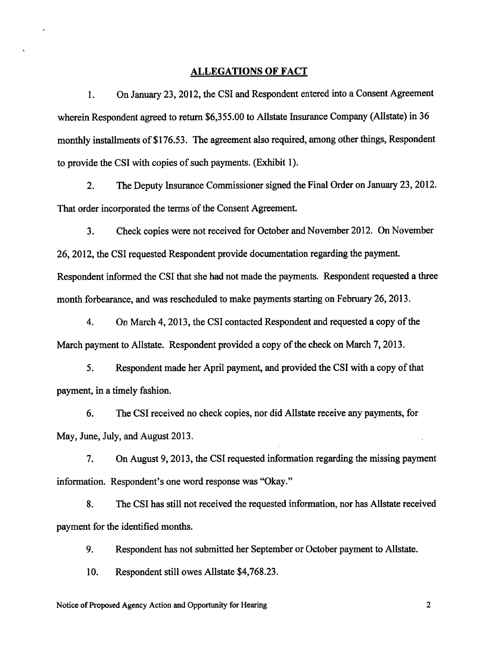# ALLEGATIONS OF FACT

1. On January 23, 2012, the CSI and Respondent entered into a Consent Agreement wherein Respondent agreed to return \$6,355.00 to Allstate Insurance Company (Allstate) in 36 monthly installments of \$176.53. The agreement also required, among other things, Respondent to provide the CSI with copies of such payments. (Exhibit 1).

2. The Deputy Insurance Commissioner signed the Final Order on January 23,2012. That order incorporated the terms of the Consent Agreement.

3. Check copies were not received for October and November 2012, On November 26, 2012, the CSI requested Respondent provide documentation regarding the payment. Respondent informed the CSI that she had not made the payments. Respondent requested a three month forbearance, and was rescheduled to make payments starting on February 26,2013.

4. On March 4, 2013, the CSI contacted Respondent and requested a copy of the March payment to Allstate. Respondent provided a copy of the check on March 7,2013.

5. Respondent made her April payment, and provided the CSI with a copy of that payment, in a timely fashion.

6. The CSI received no check copies, nor did Allstate receive any payments, for May, June, July, and August 2013.

7. On August 9,2013, the CSI requested information regarding the missing payment information. Respondent's one word response was "Okay."

8. The CSI has still not received the requested information, nor has Allstate received payment for the identified months.

9. Respondent has not submitted her September or October payment to Allstate.

10. Respondent still owes Allstate \$4,768.23.

Notice of Proposed Agency Action and Opportunity for Hearing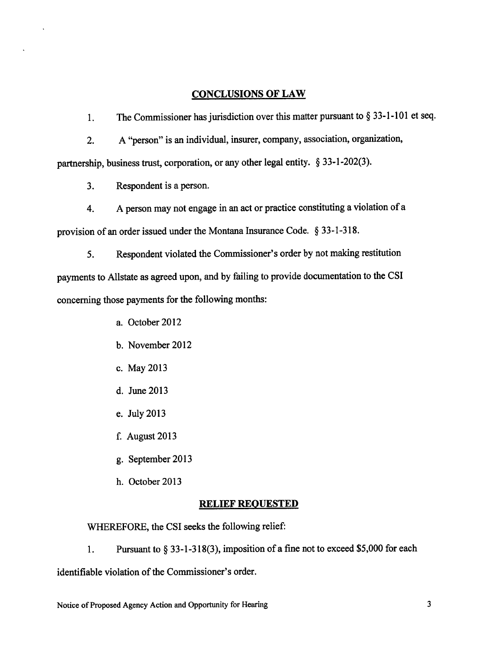# CONCLUSIONS OF LAW

l. The Commissioner has jurisdiction over this matter pursuant to \$ 33-l-101 et seq.

2. <sup>A</sup>"person" is an individual, insurer, company, association, organization, partnership, business trust, corporation, or any other legal entity. \$ 33-l-202(3).

3. Respondent is aperson.

4. <sup>A</sup>person may not engage in an act or practice constituting a violation of <sup>a</sup> provision of an order issued under the Montana Insurance Code. \$ 33-1-318.

5. Respondent violated the Commissioner's order by not making restitution payments to Allstate as agreed upon, and by failing to provide documentation to the CSI concerning those payments for the following months:

a. October 2012

- b. November 2012
- c. May 2013
- d. June 2013
- e. July 2013
- August 2013 f.
- g. September 2013
- h. October 2013

# RELIEF REQUESTED

WHEREFORE, the CSI seeks the following relief:

1. Pursuant to \$ 33-l-318(3), imposition of a fine not to exceed \$5,000 for each

identifiable violation of the Commissioner's order.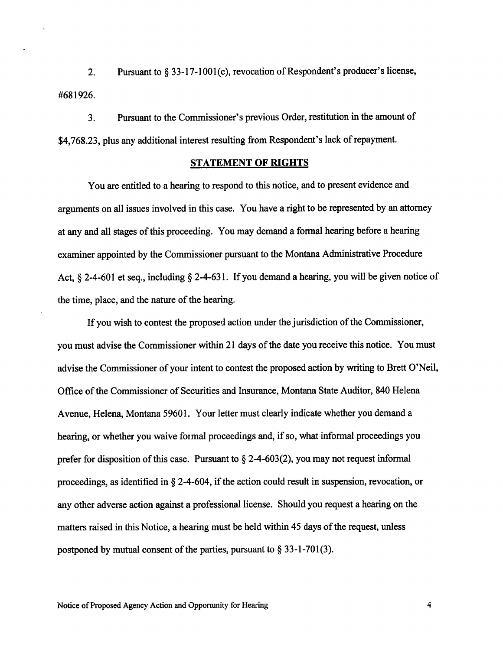2. Pursuant to \$ 33-17-1001(c), revocation of Respondent's producer's license, #681926.

3. Pursuant to the Commissioner's previous Order, restitution in the amount of \$4,768.23, plus any additional interest resulting from Respondent's lack of repayment.

# STATEMENT OF RIGHTS

You are entitled to a hearing to respond to this notice, and to present evidence and arguments on all issues involved in this case. You have a right to be represented by an attorney at any and all stages of this proceeding. You may demand a forrnal hearing before a hearing examiner appointed by the Commissioner pursuant to the Montana Administrative Procedure Act,  $\S$  2-4-601 et seq., including  $\S$  2-4-631. If you demand a hearing, you will be given notice of the time, place, and the nature of the hearing.

If you wish to contest the proposed action under the jurisdiction of the Commissioner, you must advise the Commissioner within 2l days of the date youreceive this notice. You must advise the Commissioner of your intent to contest the proposed action by writing to Brett O'Neil, Office of the Commissioner of Securities and Insurance, Montana State Auditor, 840 Helena Avenue, Helena, Montana 59601. Your letter must clearly indicate whether you demand a hearing, or whether you waive formal proceedings and, if so, what informal proceedings you prefer for disposition of this case. Pursuant to  $\S$  2-4-603(2), you may not request informal proceedings, as identified in \$ 2-4-604, if the action could result in suspension, revocation, or any other adverse action against a professional license. Should you request a hearing on the matters raised in this Notice, a hearing must be held within 45 days of the request, unless postponed by mutual consent of the parties, pursuant to  $\S 33$ -1-701(3).

4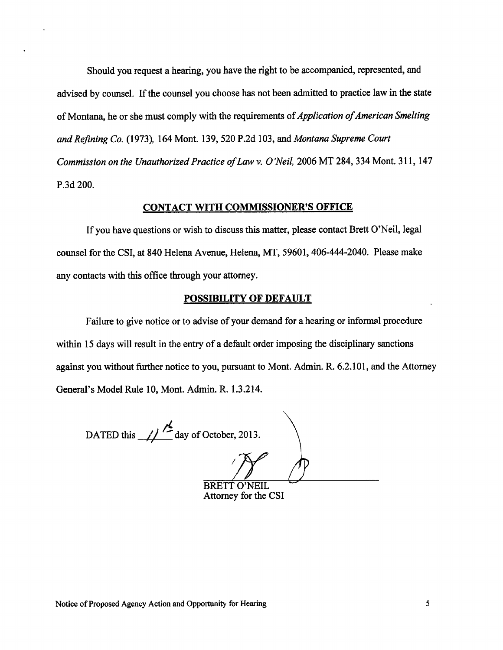Should you request a hearing, you have the right to be accompanied, represented, and advised by counsel. If the counsel you choose has not been admitted to practice law in the state of Montana, he or she must comply with the requirements of *Application of American Smelting* and Refining Co. (1973), 164 Mont. 139,520 P.2d 103, and Montana Supreme Court Commission on the Unauthorized Practice of Law v. O'Neil, 2006 MT 284, 334 Mont. 311, 147 P.3d 200.

# CONTACT WITH COMMISSIONER'S OFFICE

If you have questions or wish to discuss this matter, please contact Brett O'Neil, legal counsel for the CSI, at 840 Helena Avenue, Helena, MT, 59601, 406-444-2040. Please make any contacts with this office through your attomey.

#### POSSIBILITY OF DEFAULT

Failure to give notice or to advise of your demand for a hearing or informal procedure within 15 days will result in the entry of a default order imposing the disciplinary sanctions against you without further notice to you, pursuant to Mont. Adrnin. R. 6.2.101, and the Attorney General's Model Rule 10, Mont. Admin. R. 1.3.214.

DATED this  $\frac{1}{\sqrt{2}}$  day of October, 2013.

**BRETT O'NEIL** Attorney for the CSI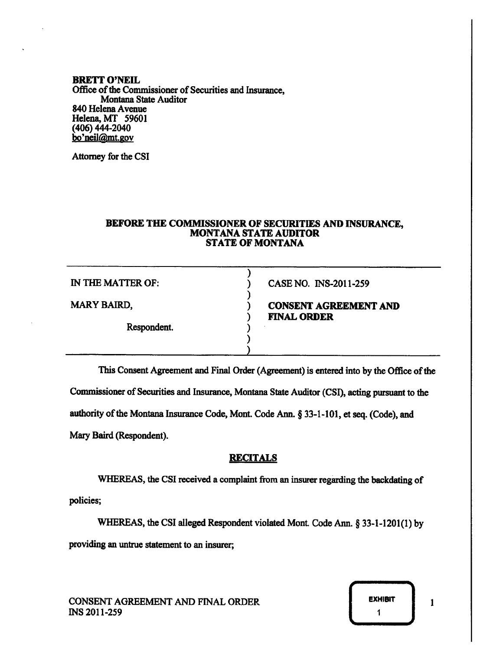#### **BRETT O'NEIL** Office of the Commissioner of Securities and Insurance, Montana State Auditor 840 Helena Avenue Helena, MT 59601 (406) 444-2040 bo'neil@mt.gov

Attorney for the CSI

#### BEFORE THE COMMISSIONER OF SECURITIES AND INSURANCE, **MONTANA STATE AUDITOR STATE OF MONTANA**

| IN THE MATTER OF:  | CASE NO. INS-2011-259                              |
|--------------------|----------------------------------------------------|
| <b>MARY BAIRD,</b> | <b>CONSENT AGREEMENT AND</b><br><b>FINAL ORDER</b> |
| Respondent.        |                                                    |
|                    |                                                    |

This Consent Agreement and Final Order (Agreement) is entered into by the Office of the

Commissioner of Securities and Insurance, Montana State Auditor (CSI), acting pursuant to the

authority of the Montana Insurance Code, Mont. Code Ann. § 33-1-101, et seq. (Code), and

Mary Baird (Respondent).

# **RECITALS**

WHEREAS, the CSI received a complaint from an insurer regarding the backdating of policies;

WHEREAS, the CSI alleged Respondent violated Mont. Code Ann. § 33-1-1201(1) by providing an untrue statement to an insurer;



 $\mathbf{1}$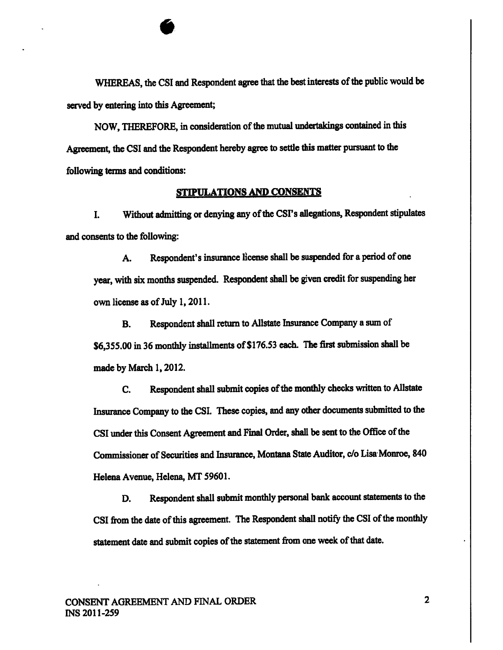WHEREAS, the CSI and Respondent agree that the best interests of the public would be served by entering into this Agreement;

NOW, THEREFORE, in consideration of the mutual undertakings contained in this Agreement, the CSI and the Respondent hereby agree to settle this matter pursuant to the following terms and conditions:

# STIPULATIONS AND CONSENTS

I. Without admitting or denying any of the CSI's allegations, Respondent stipulates and consents to the following:

A. Respondent's insurance license shall be suspended for a period of one ycar, with six months suspended. Respondent shall be given credit for suspending her own license as of July l, 2011.

B. Respondent shall return to Allstate Insurance Company a zum of \$6,355.00 in 36 monthly installments of \$176.53 each. The first submission shall be made by March 1, 2012.

C. Respondent shall submit copies of the monthly checks written to Allstate Insurance Company to the CSI. These copies, and any other documents submitted to the CSI under this Consent Agreement and Final Order, shall be sent to the Office of the Commissioner of Securities and Insurance, Montana State Auditor, c/o Lisa Monroe, 840 Helena Avenue, Helena, MT 59601.

D. Respondent shall submit monthly personal bank account statements to the CSI from the date of this agreement. The Respondent shall notify the CSI of the monthly statement date and submit copies of the statement from one week of that date.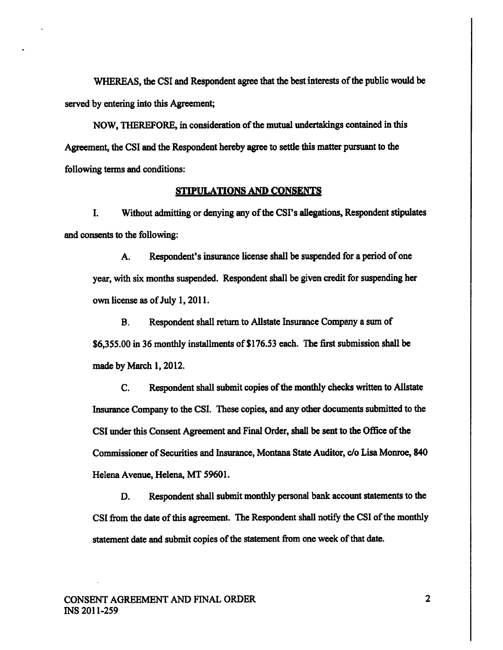WHEREAS, the CSI and Respondent agree that the bestinterests of the public would be served by entering into this Agreement;

NOW, THEREFORE, in consideration of the mutual undertakings contained in this Agrement, the CSI and the Respondent hereby agree to settle this matter pursuant to the following terms and conditions:

#### STIPULATIONS AND CONSENTS

I. Without admitting or denying any of the CSI's allegations, Respondent stipulates and consents to the following:

A. Respondent's insurance license shall be suspended for a period of one year, with six months suspended. Respondent shall be given credit for suspending her own license as of July l, 201l.

B. Respondent shall return to Allstate Insurance Company a sum of \$6,355.00 in 36 monthly installments of \$176.53 each. The first submission shall be made by March 1, 2012.

C. Respondent shall submit copies of the monthly checks written to Allstate Insurance Company to the CSI. These copies, and any other documents submitted to the CSI uder this Consent Agreement and Final Order, shall be sent to thc Office ofthe Commissioner of Securities and Insurance, Montana State Auditor, c/o Lisa Monroe, 840 Helena Avenue, Helena, MT 59601.

D. Respondent shall submit monthly personal bank account statements to the CSI from the date of this agreement. The Respondent shall notify the CSI of the monthly statement date and submit copies of the statement from one week of that date.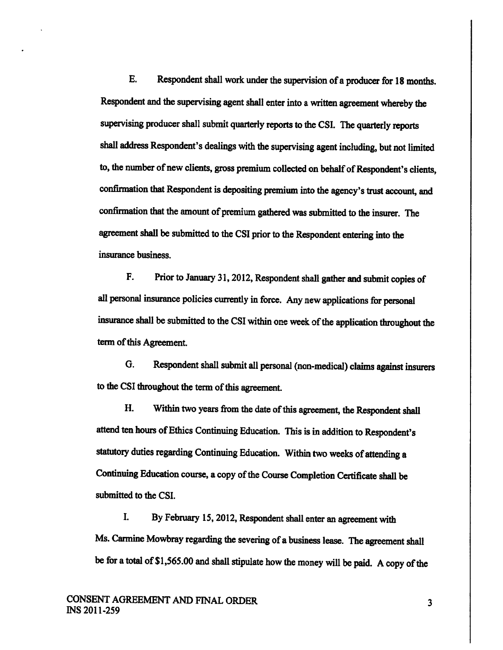E. Respondent shall work under the supervision of a producer for 18 months. Respondent and the supervising agent shall enter into a written agreement whereby the supervising producer shall submit quarterly reports to the CSI. The quarterly reports shall address Respondent's dealings with the supervising agent including, but not limited to, the number of new clients, gross premium collected on behalf of Respondent's clients, confirmation that Respondent is depositing premium into the agency's trust account, and confirmation that the amount of premium gathered was submitted to the insurer. The agreement shall be submitted to the CSI prior to the Respondent entering into the insurance business.

F. Prior to January 31, 2012, Respondent shall gather and submit copies of all personal insurance policies currenfly in force. Any new applications for personal insurance shall be submitted to the CSI within one week of the application throughout the term of this Agreement.

G. Respondent shall submit all personal (non-medical) claims against insurers to the CSI throughout the term of this agreement.

H. Within two years from the date of this agreement, the Respondent shall attend ten hours of Ethics Continuing Education. This is in addition to Respondent's statutory duties regarding Continuing Education. Within two weeks of attending a Continuing Education course, a copy of the Course Completion Certificate shall be submitted to the CSI.

I. By February 15, 2012, Respondent shall enter an agreement with Ms. Carmine Mowbray regarding the severing of a business lease. The agreement shall be for a total of \$1,565.00 and shall stipulate how the money will be paid. A copy of the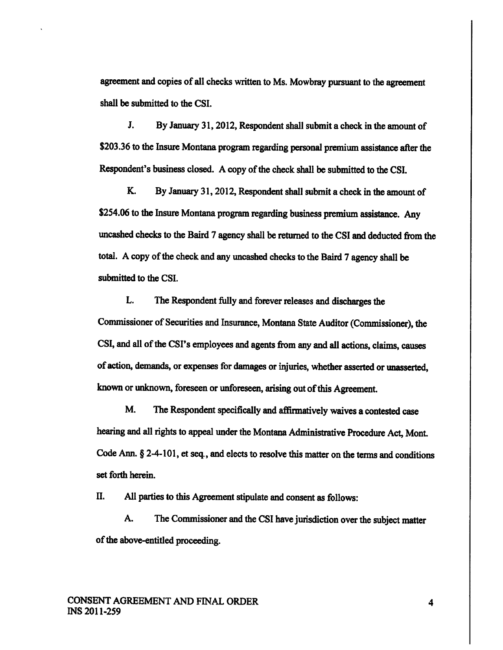agreement and copies of all checks written to Ms. Mowbray pursuant to the agreement shall be submitted to the CSI.

J. By January 31,2012, Respondent shall submit a check in the amount of \$203.36 to the Insure Montana program regarding personal premium assistance after the Respondent's business closed. A copy of the check shall be submitted to the CSI.

K. By January 31,2012, Respondent shall submit a check in the amount of \$254.06 to the Insure Montana program regarding business premium assistancc. Any uncashed checks to the Baird 7 agency shall be returned to the CSI and deducted from the total. A copy of the check and any uncashed checks to the Baird 7 agency shall be submitted to the CSI.

L. The Respondent fully and forcver releases and discharges the Commissioner of Securities and Insurance, Montana State Auditor (Commissioner), the CSI, and all of the CSI's employees and agents from any and all actions, claims, causes of action, demands, or expenses for damages or injuries, whether asserted or unasserted, known or unknown, foreseen or unforeseen, arising out of this Agreement.

M. The Respondent specifically and affirmatively waives a contested case hearing and all rights to appeal under the Montana Administrative Procedure Act, Mont. Code Ann.  $§$  2-4-101, et seq., and elects to resolve this matter on the terms and conditions set forth herein.

II. AII parties to this Agreement stipulate and consent as follows:

A. The Commissioner and the CSI have jurisdiction over the subject matter of the above-entitled proceeding.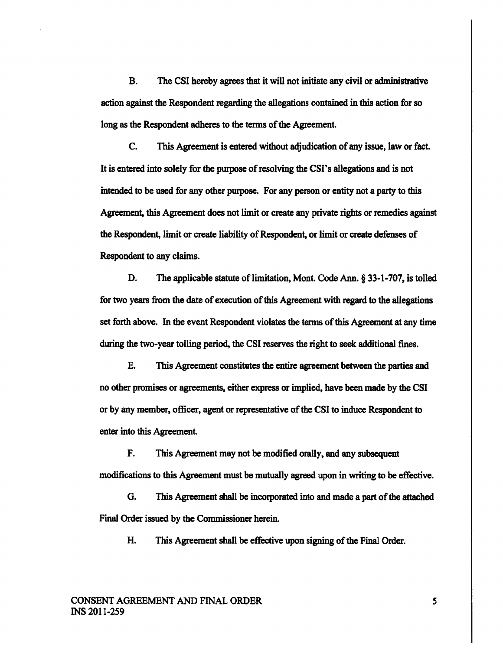B. The CSI hereby agrees that it will not initiate any civil or administrative action against the Respondent regarding the allegations contained in this action for so long as the Respondent adheres to the terms of the Agreement.

C. This Agreement is entered without adjudication of any issue, law or fact. It is entered into solely for the purpose of resolving the CSI's allegations and is not intended to be used for any other purpose. For any person or entity not a party to this Agreement, this Agreement does not limit or create any private rights or remedies against the Respondent, limit or create liability of Respondent, or limit or create defenses of Respondent to any claims.

D. The applicable statute of limitation, Mont. Code Ann. § 33-1-707, is tolled for two years from the date of execution of this Agreement with regard to the allegations set forth above. In the event Respondent violates the terms of this Agreement at any time during the two-year tolling period, the CSI reserves the right to seek additional fines.

E. This Agreement constitutes the entire agreement between the parties and no other promises or agreements, either express or implied, have been made by the CSI or by any member, officer, agent or representative of the CSI to induce Respondent to enter into this Agreement.

F. This Agreement may not be modified orally, and any subsequent modifications to this Agreement must be mutually agreed upon in uriting to be effective.

G. This Agreement shall be incorporated into and made a part of the attached Final Order issued by the Commissioner herein.

H. This Agreement shall be effective upon signing of the Final Order.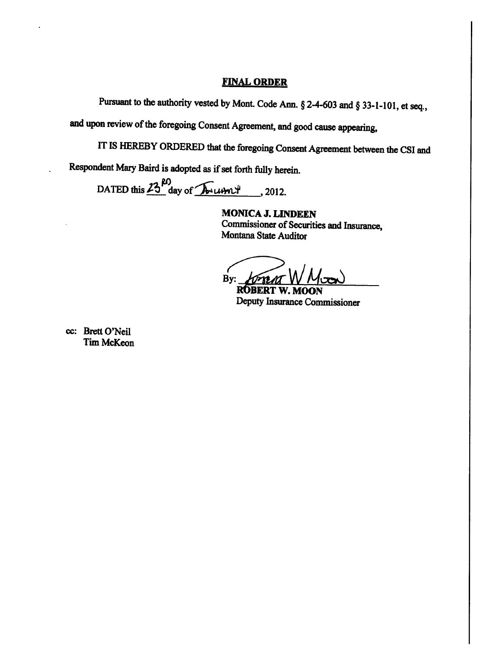### **FINAL ORDER**

Pursuant to the authority vested by Mont. Code Ann. § 2-4-603 and § 33-1-101, et seq.,

and upon review of the foregoing Consent Agreement, and good cause appearing,

IT IS HEREBY ORDERED that the foregoing Consent Agreement between the CSI and

Respondent Mary Baird is adopted as if set forth fully herein.

DATED this  $23^{10}$  day of Array 2012.

**MONICA J. LINDEEN** Commissioner of Securities and Insurance, Montana State Auditor

By:

**ROBERT W. MOON** Deputy Insurance Commissioner

cc: Brett O'Neil **Tim McKeon**